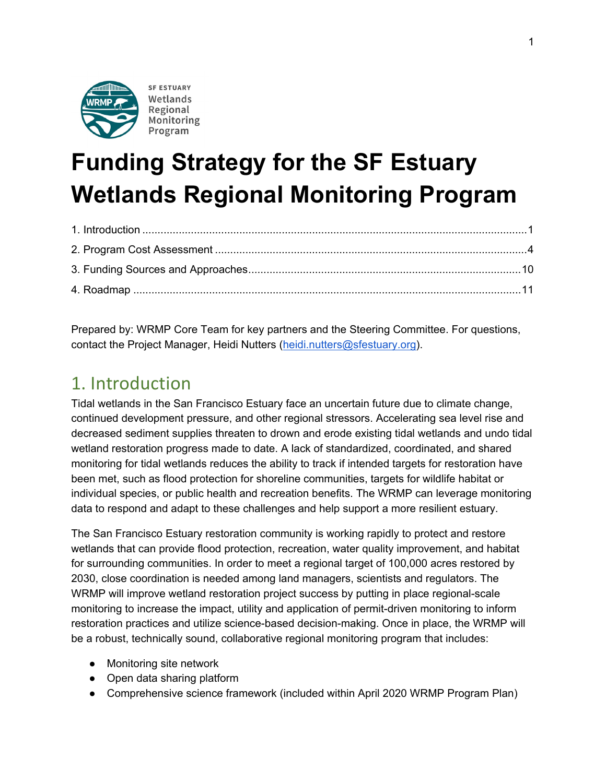

# **Funding Strategy for the SF Estuary Wetlands Regional Monitoring Program**

Prepared by: WRMP Core Team for key partners and the Steering Committee. For questions, contact the Project Manager, Heidi Nutters [\(heidi.nutters@sfestuary.org\)](mailto:heidi.nutters@sfestuary.org).

# <span id="page-0-0"></span>1. Introduction

Tidal wetlands in the San Francisco Estuary face an uncertain future due to climate change, continued development pressure, and other regional stressors. Accelerating sea level rise and decreased sediment supplies threaten to drown and erode existing tidal wetlands and undo tidal wetland restoration progress made to date. A lack of standardized, coordinated, and shared monitoring for tidal wetlands reduces the ability to track if intended targets for restoration have been met, such as flood protection for shoreline communities, targets for wildlife habitat or individual species, or public health and recreation benefits. The WRMP can leverage monitoring data to respond and adapt to these challenges and help support a more resilient estuary.

The San Francisco Estuary restoration community is working rapidly to protect and restore wetlands that can provide flood protection, recreation, water quality improvement, and habitat for surrounding communities. In order to meet a regional target of 100,000 acres restored by 2030, close coordination is needed among land managers, scientists and regulators. The WRMP will improve wetland restoration project success by putting in place regional-scale monitoring to increase the impact, utility and application of permit-driven monitoring to inform restoration practices and utilize science-based decision-making. Once in place, the WRMP will be a robust, technically sound, collaborative regional monitoring program that includes:

- Monitoring site network
- Open data sharing platform
- Comprehensive science framework (included within April 2020 WRMP Program Plan)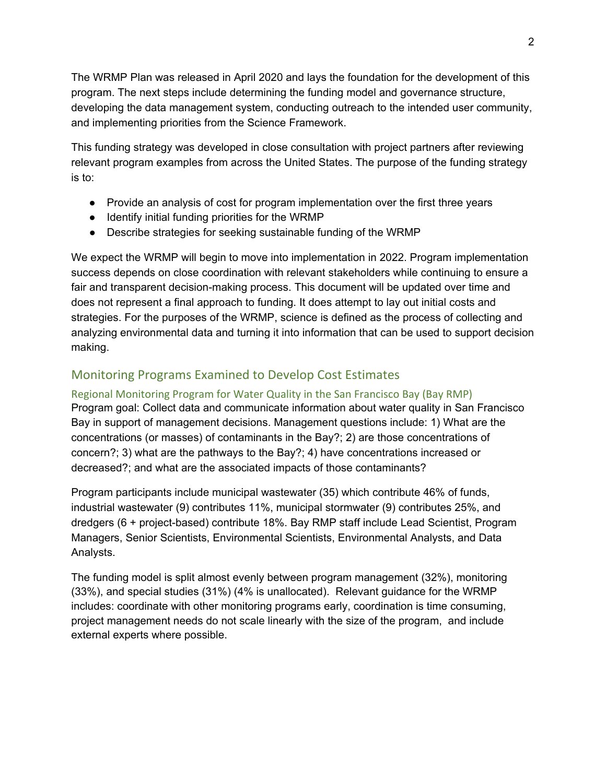The WRMP Plan was released in April 2020 and lays the foundation for the development of this program. The next steps include determining the funding model and governance structure, developing the data management system, conducting outreach to the intended user community, and implementing priorities from the Science Framework.

This funding strategy was developed in close consultation with project partners after reviewing relevant program examples from across the United States. The purpose of the funding strategy is to:

- Provide an analysis of cost for program implementation over the first three years
- Identify initial funding priorities for the WRMP
- Describe strategies for seeking sustainable funding of the WRMP

We expect the WRMP will begin to move into implementation in 2022. Program implementation success depends on close coordination with relevant stakeholders while continuing to ensure a fair and transparent decision-making process. This document will be updated over time and does not represent a final approach to funding. It does attempt to lay out initial costs and strategies. For the purposes of the WRMP, science is defined as the process of collecting and analyzing environmental data and turning it into information that can be used to support decision making.

# Monitoring Programs Examined to Develop Cost Estimates

#### Regional Monitoring Program for Water Quality in the San Francisco Bay (Bay RMP)

Program goal: Collect data and communicate information about water quality in San Francisco Bay in support of management decisions. Management questions include: 1) What are the concentrations (or masses) of contaminants in the Bay?; 2) are those concentrations of concern?; 3) what are the pathways to the Bay?; 4) have concentrations increased or decreased?; and what are the associated impacts of those contaminants?

Program participants include municipal wastewater (35) which contribute 46% of funds, industrial wastewater (9) contributes 11%, municipal stormwater (9) contributes 25%, and dredgers (6 + project-based) contribute 18%. Bay RMP staff include Lead Scientist, Program Managers, Senior Scientists, Environmental Scientists, Environmental Analysts, and Data Analysts.

The funding model is split almost evenly between program management (32%), monitoring (33%), and special studies (31%) (4% is unallocated). Relevant guidance for the WRMP includes: coordinate with other monitoring programs early, coordination is time consuming, project management needs do not scale linearly with the size of the program, and include external experts where possible.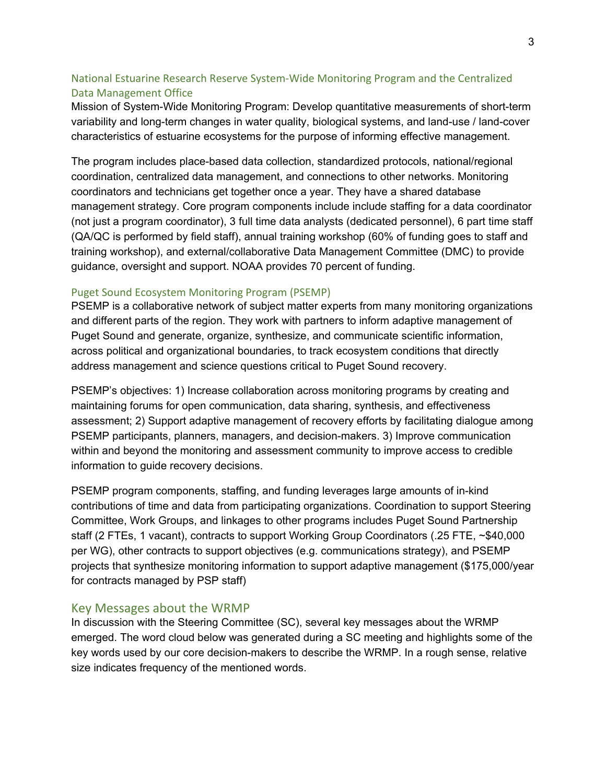### National Estuarine Research Reserve System-Wide Monitoring Program and the Centralized Data Management Office

Mission of System-Wide Monitoring Program: Develop quantitative measurements of short-term variability and long-term changes in water quality, biological systems, and land-use / land-cover characteristics of estuarine ecosystems for the purpose of informing effective management.

The program includes place-based data collection, standardized protocols, national/regional coordination, centralized data management, and connections to other networks. Monitoring coordinators and technicians get together once a year. They have a shared database management strategy. Core program components include include staffing for a data coordinator (not just a program coordinator), 3 full time data analysts (dedicated personnel), 6 part time staff (QA/QC is performed by field staff), annual training workshop (60% of funding goes to staff and training workshop), and external/collaborative Data Management Committee (DMC) to provide guidance, oversight and support. NOAA provides 70 percent of funding.

#### Puget Sound Ecosystem Monitoring Program (PSEMP)

PSEMP is a collaborative network of subject matter experts from many monitoring organizations and different parts of the region. They work with partners to inform adaptive management of Puget Sound and generate, organize, synthesize, and communicate scientific information, across political and organizational boundaries, to track ecosystem conditions that directly address management and science questions critical to Puget Sound recovery.

PSEMP's objectives: 1) Increase collaboration across monitoring programs by creating and maintaining forums for open communication, data sharing, synthesis, and effectiveness assessment; 2) Support adaptive management of recovery efforts by facilitating dialogue among PSEMP participants, planners, managers, and decision-makers. 3) Improve communication within and beyond the monitoring and assessment community to improve access to credible information to guide recovery decisions.

PSEMP program components, staffing, and funding leverages large amounts of in-kind contributions of time and data from participating organizations. Coordination to support Steering Committee, Work Groups, and linkages to other programs includes Puget Sound Partnership staff (2 FTEs, 1 vacant), contracts to support Working Group Coordinators (.25 FTE, ~\$40,000 per WG), other contracts to support objectives (e.g. communications strategy), and PSEMP projects that synthesize monitoring information to support adaptive management (\$175,000/year for contracts managed by PSP staff)

#### Key Messages about the WRMP

In discussion with the Steering Committee (SC), several key messages about the WRMP emerged. The word cloud below was generated during a SC meeting and highlights some of the key words used by our core decision-makers to describe the WRMP. In a rough sense, relative size indicates frequency of the mentioned words.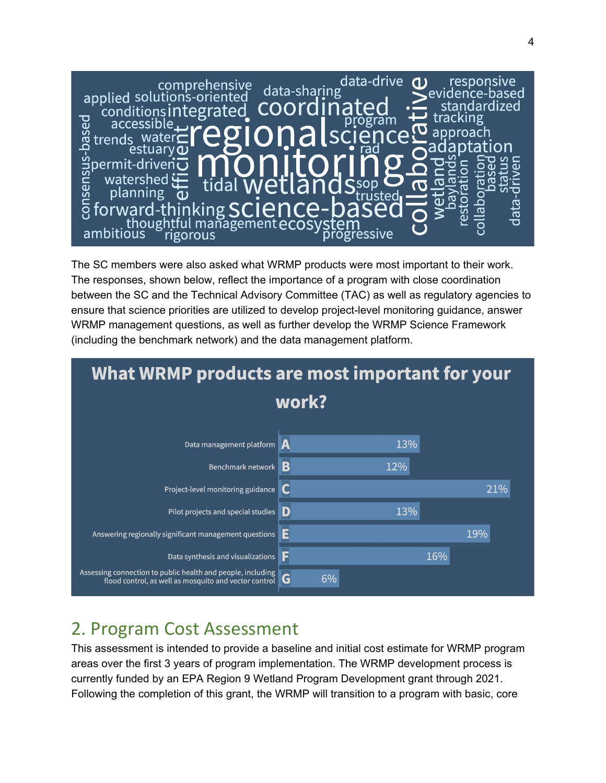

The SC members were also asked what WRMP products were most important to their work. The responses, shown below, reflect the importance of a program with close coordination between the SC and the Technical Advisory Committee (TAC) as well as regulatory agencies to ensure that science priorities are utilized to develop project-level monitoring guidance, answer WRMP management questions, as well as further develop the WRMP Science Framework (including the benchmark network) and the data management platform.



# <span id="page-3-0"></span>2. Program Cost Assessment

This assessment is intended to provide a baseline and initial cost estimate for WRMP program areas over the first 3 years of program implementation. The WRMP development process is currently funded by an EPA Region 9 Wetland Program Development grant through 2021. Following the completion of this grant, the WRMP will transition to a program with basic, core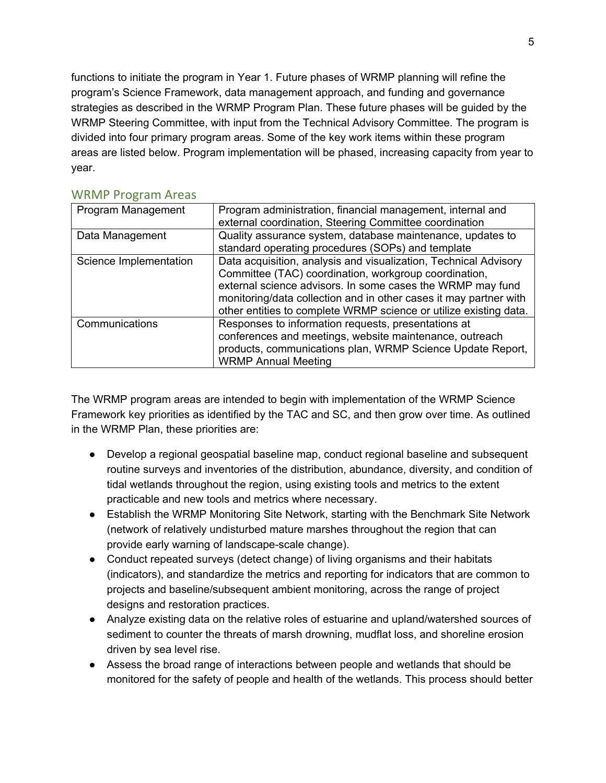functions to initiate the program in Year 1. Future phases of WRMP planning will refine the program's Science Framework, data management approach, and funding and governance strategies as described in the WRMP Program Plan. These future phases will be guided by the WRMP Steering Committee, with input from the Technical Advisory Committee. The program is divided into four primary program areas. Some of the key work items within these program areas are listed below. Program implementation will be phased, increasing capacity from year to year.

| Program Management     | Program administration, financial management, internal and<br>external coordination, Steering Committee coordination                                                                                                                                                                                                              |
|------------------------|-----------------------------------------------------------------------------------------------------------------------------------------------------------------------------------------------------------------------------------------------------------------------------------------------------------------------------------|
| Data Management        | Quality assurance system, database maintenance, updates to<br>standard operating procedures (SOPs) and template                                                                                                                                                                                                                   |
| Science Implementation | Data acquisition, analysis and visualization, Technical Advisory<br>Committee (TAC) coordination, workgroup coordination,<br>external science advisors. In some cases the WRMP may fund<br>monitoring/data collection and in other cases it may partner with<br>other entities to complete WRMP science or utilize existing data. |
| Communications         | Responses to information requests, presentations at<br>conferences and meetings, website maintenance, outreach<br>products, communications plan, WRMP Science Update Report,<br><b>WRMP Annual Meeting</b>                                                                                                                        |

#### WRMP Program Areas

The WRMP program areas are intended to begin with implementation of the WRMP Science Framework key priorities as identified by the TAC and SC, and then grow over time. As outlined in the WRMP Plan, these priorities are:

- Develop a regional geospatial baseline map, conduct regional baseline and subsequent routine surveys and inventories of the distribution, abundance, diversity, and condition of tidal wetlands throughout the region, using existing tools and metrics to the extent practicable and new tools and metrics where necessary.
- Establish the WRMP Monitoring Site Network, starting with the Benchmark Site Network (network of relatively undisturbed mature marshes throughout the region that can provide early warning of landscape-scale change).
- Conduct repeated surveys (detect change) of living organisms and their habitats (indicators), and standardize the metrics and reporting for indicators that are common to projects and baseline/subsequent ambient monitoring, across the range of project designs and restoration practices.
- Analyze existing data on the relative roles of estuarine and upland/watershed sources of sediment to counter the threats of marsh drowning, mudflat loss, and shoreline erosion driven by sea level rise.
- Assess the broad range of interactions between people and wetlands that should be monitored for the safety of people and health of the wetlands. This process should better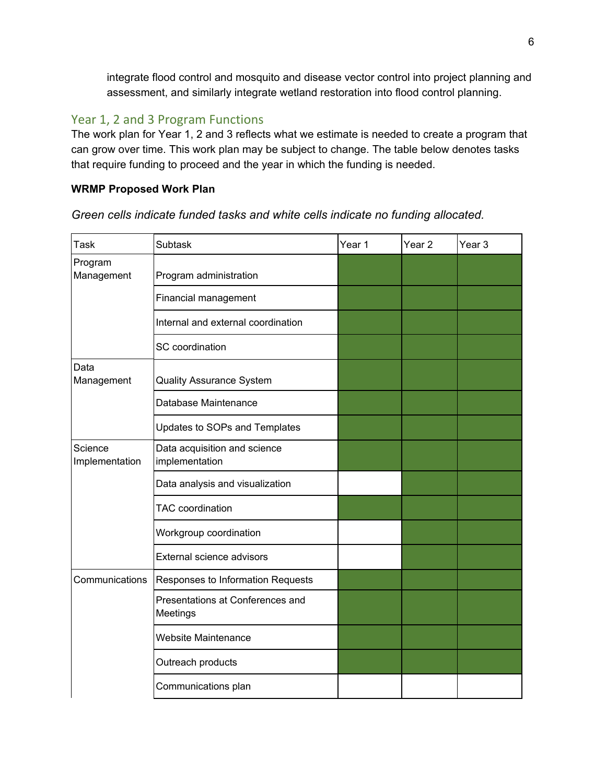integrate flood control and mosquito and disease vector control into project planning and assessment, and similarly integrate wetland restoration into flood control planning.

### Year 1, 2 and 3 Program Functions

The work plan for Year 1, 2 and 3 reflects what we estimate is needed to create a program that can grow over time. This work plan may be subject to change. The table below denotes tasks that require funding to proceed and the year in which the funding is needed.

#### **WRMP Proposed Work Plan**

*Green cells indicate funded tasks and white cells indicate no funding allocated.*

| Task                      | <b>Subtask</b>                                 | Year 1 | Year 2 | Year 3 |
|---------------------------|------------------------------------------------|--------|--------|--------|
| Program<br>Management     | Program administration                         |        |        |        |
|                           | Financial management                           |        |        |        |
|                           | Internal and external coordination             |        |        |        |
|                           | SC coordination                                |        |        |        |
| Data<br>Management        | <b>Quality Assurance System</b>                |        |        |        |
|                           | Database Maintenance                           |        |        |        |
|                           | Updates to SOPs and Templates                  |        |        |        |
| Science<br>Implementation | Data acquisition and science<br>implementation |        |        |        |
|                           | Data analysis and visualization                |        |        |        |
|                           | <b>TAC</b> coordination                        |        |        |        |
|                           | Workgroup coordination                         |        |        |        |
|                           | External science advisors                      |        |        |        |
| Communications            | Responses to Information Requests              |        |        |        |
|                           | Presentations at Conferences and<br>Meetings   |        |        |        |
|                           | <b>Website Maintenance</b>                     |        |        |        |
|                           | Outreach products                              |        |        |        |
|                           | Communications plan                            |        |        |        |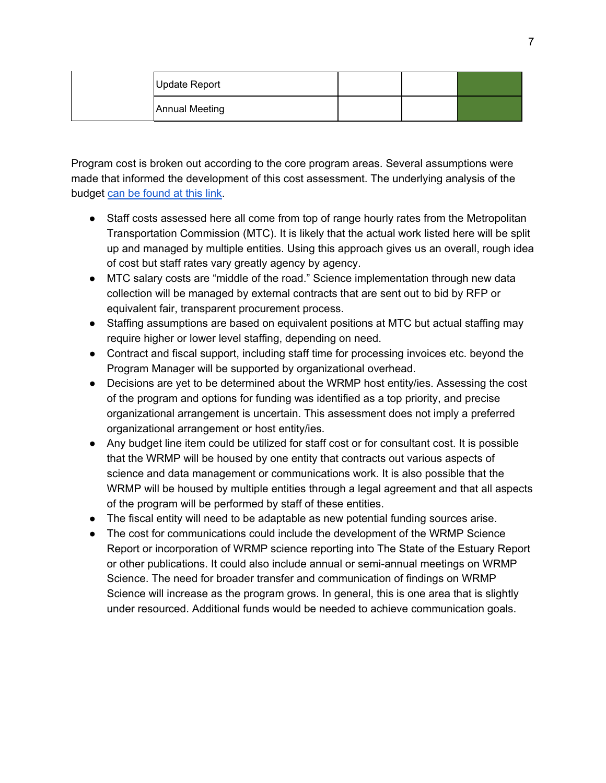| Update Report         |  |  |
|-----------------------|--|--|
| <b>Annual Meeting</b> |  |  |

Program cost is broken out according to the core program areas. Several assumptions were made that informed the development of this cost assessment. The underlying analysis of the budget [can be found at this link.](https://docs.google.com/spreadsheets/d/19Rh8WNJ47aEWorue1622gHltBqAzYUsTQAvlkgp2Vnc/edit?usp=sharing)

- Staff costs assessed here all come from top of range hourly rates from the Metropolitan Transportation Commission (MTC). It is likely that the actual work listed here will be split up and managed by multiple entities. Using this approach gives us an overall, rough idea of cost but staff rates vary greatly agency by agency.
- MTC salary costs are "middle of the road." Science implementation through new data collection will be managed by external contracts that are sent out to bid by RFP or equivalent fair, transparent procurement process.
- Staffing assumptions are based on equivalent positions at MTC but actual staffing may require higher or lower level staffing, depending on need.
- Contract and fiscal support, including staff time for processing invoices etc. beyond the Program Manager will be supported by organizational overhead.
- Decisions are yet to be determined about the WRMP host entity/ies. Assessing the cost of the program and options for funding was identified as a top priority, and precise organizational arrangement is uncertain. This assessment does not imply a preferred organizational arrangement or host entity/ies.
- Any budget line item could be utilized for staff cost or for consultant cost. It is possible that the WRMP will be housed by one entity that contracts out various aspects of science and data management or communications work. It is also possible that the WRMP will be housed by multiple entities through a legal agreement and that all aspects of the program will be performed by staff of these entities.
- The fiscal entity will need to be adaptable as new potential funding sources arise.
- The cost for communications could include the development of the WRMP Science Report or incorporation of WRMP science reporting into The State of the Estuary Report or other publications. It could also include annual or semi-annual meetings on WRMP Science. The need for broader transfer and communication of findings on WRMP Science will increase as the program grows. In general, this is one area that is slightly under resourced. Additional funds would be needed to achieve communication goals.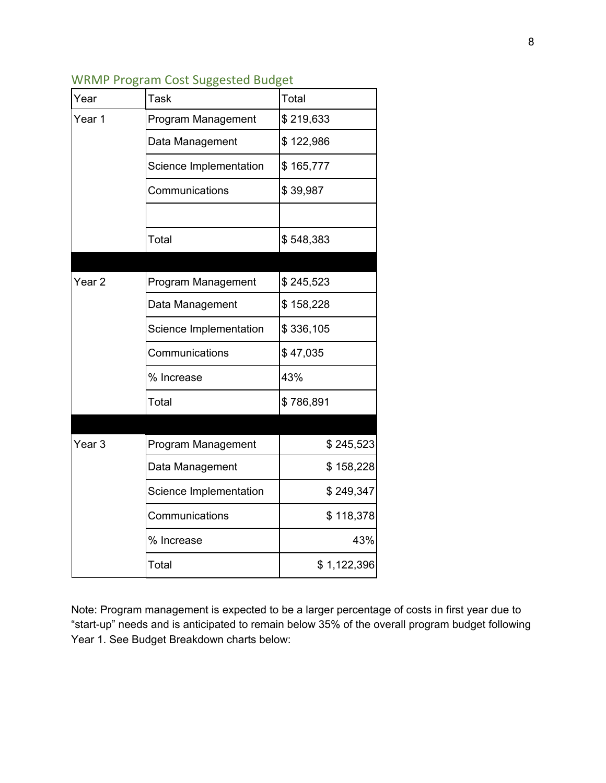| Year              | Task                   | Total       |
|-------------------|------------------------|-------------|
| Year 1            | Program Management     | \$219,633   |
|                   | Data Management        | \$122,986   |
|                   | Science Implementation | \$165,777   |
|                   | Communications         | \$39,987    |
|                   |                        |             |
|                   | Total                  | \$548,383   |
|                   |                        |             |
| Year <sub>2</sub> | Program Management     | \$245,523   |
|                   | Data Management        | \$158,228   |
|                   | Science Implementation | \$336,105   |
|                   | Communications         | \$47,035    |
|                   | % Increase             | 43%         |
|                   | Total                  | \$786,891   |
|                   |                        |             |
| Year <sub>3</sub> | Program Management     | \$245,523   |
|                   | Data Management        | \$158,228   |
|                   | Science Implementation | \$249,347   |
|                   | Communications         | \$118,378   |
|                   | % Increase             | 43%         |
|                   | Total                  | \$1,122,396 |

Note: Program management is expected to be a larger percentage of costs in first year due to "start-up" needs and is anticipated to remain below 35% of the overall program budget following Year 1. See Budget Breakdown charts below: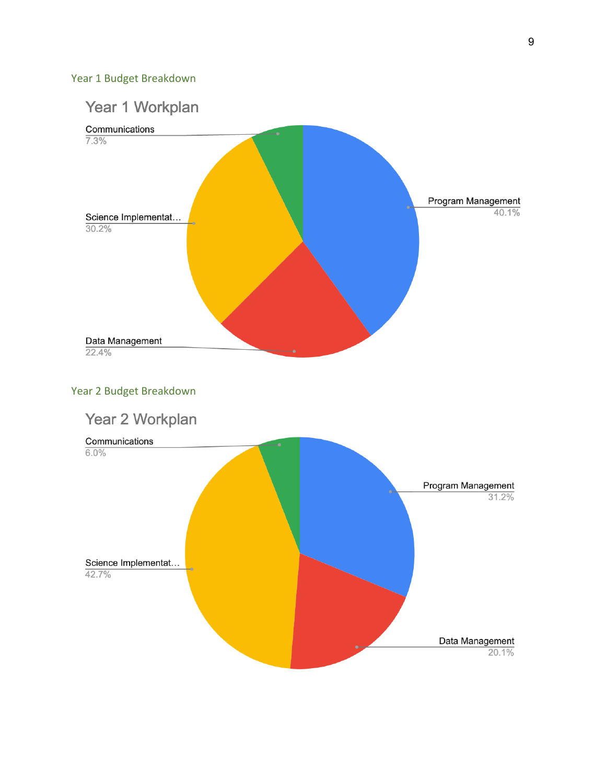## Year 1 Budget Breakdown

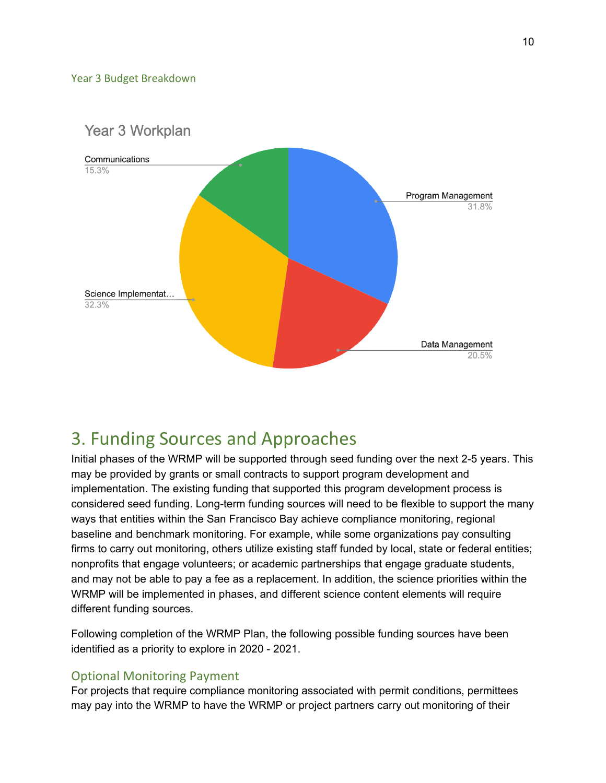#### Year 3 Budget Breakdown



# <span id="page-9-0"></span>3. Funding Sources and Approaches

Initial phases of the WRMP will be supported through seed funding over the next 2-5 years. This may be provided by grants or small contracts to support program development and implementation. The existing funding that supported this program development process is considered seed funding. Long-term funding sources will need to be flexible to support the many ways that entities within the San Francisco Bay achieve compliance monitoring, regional baseline and benchmark monitoring. For example, while some organizations pay consulting firms to carry out monitoring, others utilize existing staff funded by local, state or federal entities; nonprofits that engage volunteers; or academic partnerships that engage graduate students, and may not be able to pay a fee as a replacement. In addition, the science priorities within the WRMP will be implemented in phases, and different science content elements will require different funding sources.

Following completion of the WRMP Plan, the following possible funding sources have been identified as a priority to explore in 2020 - 2021.

# Optional Monitoring Payment

For projects that require compliance monitoring associated with permit conditions, permittees may pay into the WRMP to have the WRMP or project partners carry out monitoring of their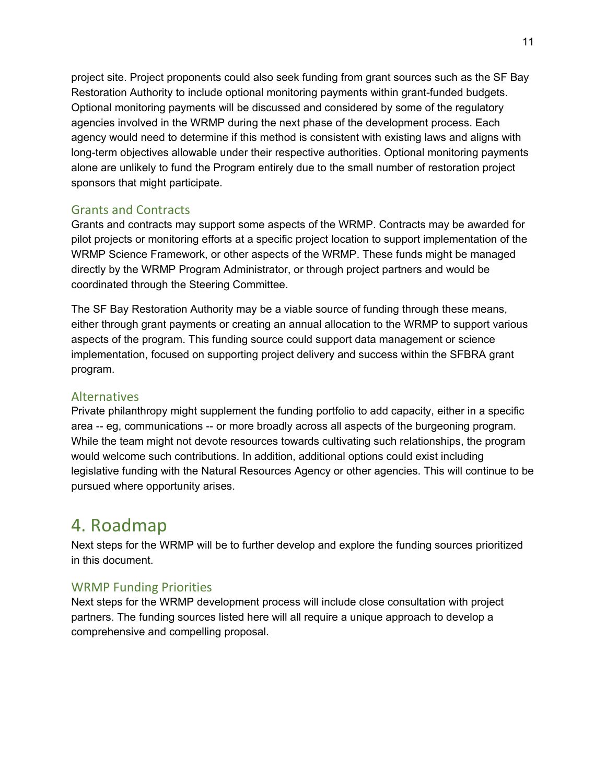project site. Project proponents could also seek funding from grant sources such as the SF Bay Restoration Authority to include optional monitoring payments within grant-funded budgets. Optional monitoring payments will be discussed and considered by some of the regulatory agencies involved in the WRMP during the next phase of the development process. Each agency would need to determine if this method is consistent with existing laws and aligns with long-term objectives allowable under their respective authorities. Optional monitoring payments alone are unlikely to fund the Program entirely due to the small number of restoration project sponsors that might participate.

# Grants and Contracts

Grants and contracts may support some aspects of the WRMP. Contracts may be awarded for pilot projects or monitoring efforts at a specific project location to support implementation of the WRMP Science Framework, or other aspects of the WRMP. These funds might be managed directly by the WRMP Program Administrator, or through project partners and would be coordinated through the Steering Committee.

The SF Bay Restoration Authority may be a viable source of funding through these means, either through grant payments or creating an annual allocation to the WRMP to support various aspects of the program. This funding source could support data management or science implementation, focused on supporting project delivery and success within the SFBRA grant program.

## Alternatives

Private philanthropy might supplement the funding portfolio to add capacity, either in a specific area -- eg, communications -- or more broadly across all aspects of the burgeoning program. While the team might not devote resources towards cultivating such relationships, the program would welcome such contributions. In addition, additional options could exist including legislative funding with the Natural Resources Agency or other agencies. This will continue to be pursued where opportunity arises.

# <span id="page-10-0"></span>4. Roadmap

Next steps for the WRMP will be to further develop and explore the funding sources prioritized in this document.

# WRMP Funding Priorities

Next steps for the WRMP development process will include close consultation with project partners. The funding sources listed here will all require a unique approach to develop a comprehensive and compelling proposal.